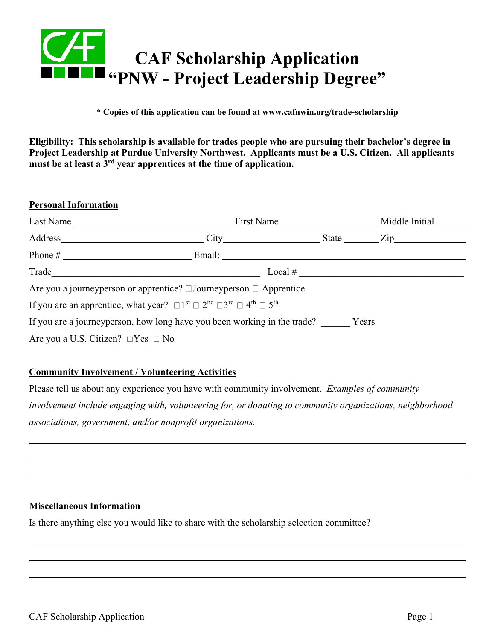

**\* Copies of this application can be found at www.cafnwin.org/trade-scholarship**

**Eligibility: This scholarship is available for trades people who are pursuing their bachelor's degree in Project Leadership at Purdue University Northwest. Applicants must be a U.S. Citizen. All applicants must be at least a 3rd year apprentices at the time of application.**

| <b>Personal Information</b>                  |                                                                                                                                                         |            |                |
|----------------------------------------------|---------------------------------------------------------------------------------------------------------------------------------------------------------|------------|----------------|
| Last Name                                    |                                                                                                                                                         | First Name | Middle Initial |
|                                              | $\qquad \qquad \text{City} \qquad \qquad$                                                                                                               |            | State Zip      |
|                                              |                                                                                                                                                         |            |                |
| Trade                                        |                                                                                                                                                         | Local $#$  |                |
|                                              | Are you a journey person or apprentice? $\Box$ Journey person $\Box$ Apprentice                                                                         |            |                |
|                                              | If you are an apprentice, what year? $\Box$ 1 <sup>st</sup> $\Box$ 2 <sup>nd</sup> $\Box$ 3 <sup>rd</sup> $\Box$ 4 <sup>th</sup> $\Box$ 5 <sup>th</sup> |            |                |
|                                              | If you are a journeyperson, how long have you been working in the trade?                                                                                |            | Years          |
| Are you a U.S. Citizen? $\Box$ Yes $\Box$ No |                                                                                                                                                         |            |                |

# **Community Involvement / Volunteering Activities**

Please tell us about any experience you have with community involvement. *Examples of community involvement include engaging with, volunteering for, or donating to community organizations, neighborhood associations, government, and/or nonprofit organizations.*

### **Miscellaneous Information**

Is there anything else you would like to share with the scholarship selection committee?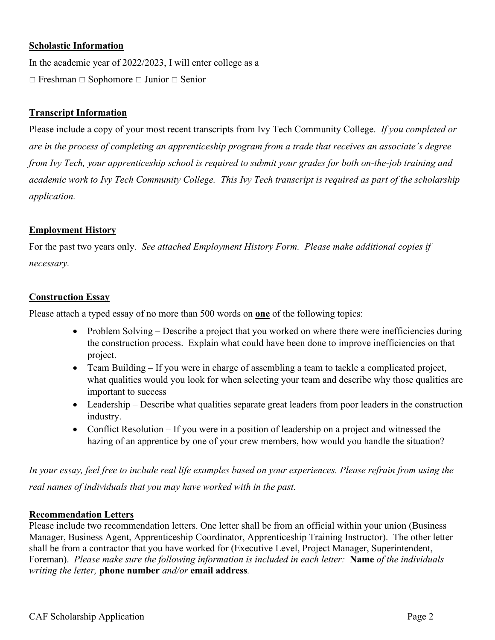# **Scholastic Information**

In the academic year of 2022/2023, I will enter college as a  $\Box$  Freshman  $\Box$  Sophomore  $\Box$  Junior  $\Box$  Senior

# **Transcript Information**

Please include a copy of your most recent transcripts from Ivy Tech Community College. *If you completed or are in the process of completing an apprenticeship program from a trade that receives an associate's degree from Ivy Tech, your apprenticeship school is required to submit your grades for both on-the-job training and academic work to Ivy Tech Community College. This Ivy Tech transcript is required as part of the scholarship application.*

### **Employment History**

For the past two years only. *See attached Employment History Form. Please make additional copies if necessary.*

#### **Construction Essay**

Please attach a typed essay of no more than 500 words on **one** of the following topics:

- Problem Solving Describe a project that you worked on where there were inefficiencies during the construction process. Explain what could have been done to improve inefficiencies on that project.
- Team Building If you were in charge of assembling a team to tackle a complicated project, what qualities would you look for when selecting your team and describe why those qualities are important to success
- Leadership Describe what qualities separate great leaders from poor leaders in the construction industry.
- Conflict Resolution If you were in a position of leadership on a project and witnessed the hazing of an apprentice by one of your crew members, how would you handle the situation?

*In your essay, feel free to include real life examples based on your experiences. Please refrain from using the real names of individuals that you may have worked with in the past.* 

### **Recommendation Letters**

Please include two recommendation letters. One letter shall be from an official within your union (Business Manager, Business Agent, Apprenticeship Coordinator, Apprenticeship Training Instructor). The other letter shall be from a contractor that you have worked for (Executive Level, Project Manager, Superintendent, Foreman). *Please make sure the following information is included in each letter:* **Name** *of the individuals writing the letter,* **phone number** *and/or* **email address***.*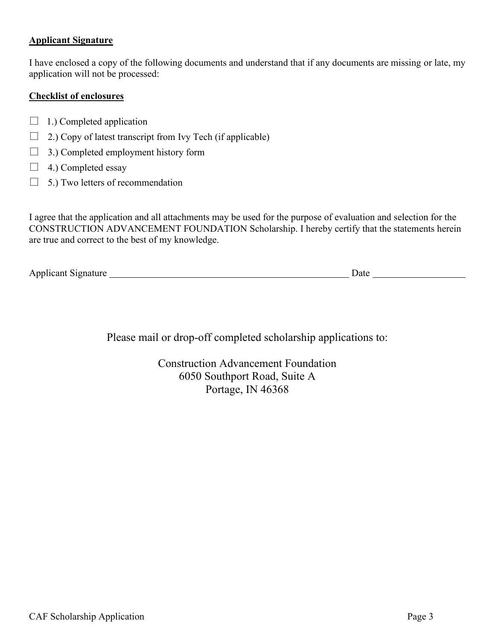### **Applicant Signature**

I have enclosed a copy of the following documents and understand that if any documents are missing or late, my application will not be processed:

### **Checklist of enclosures**

- $\Box$  1.) Completed application
- $\Box$  2.) Copy of latest transcript from Ivy Tech (if applicable)
- $\Box$  3.) Completed employment history form
- $\Box$  4.) Completed essay
- $\Box$  5.) Two letters of recommendation

I agree that the application and all attachments may be used for the purpose of evaluation and selection for the CONSTRUCTION ADVANCEMENT FOUNDATION Scholarship. I hereby certify that the statements herein are true and correct to the best of my knowledge.

Applicant Signature 100 million and the Date of Date 200 million Date 200 million Date 200 million Date 200 million Date 200 million Date 200 million Date 200 million Date 200 million Date 200 million Date 200 million Date

Please mail or drop-off completed scholarship applications to:

Construction Advancement Foundation 6050 Southport Road, Suite A Portage, IN 46368